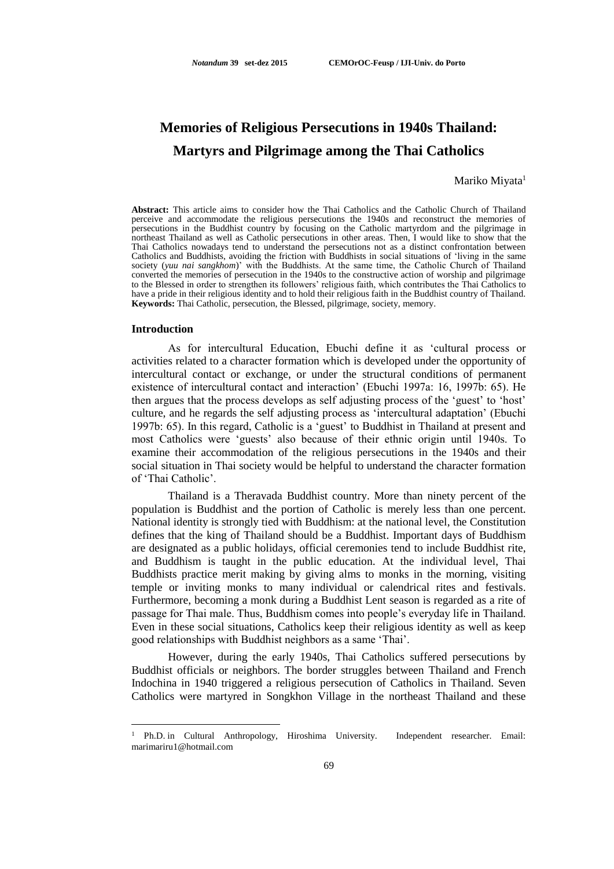# **Memories of Religious Persecutions in 1940s Thailand: Martyrs and Pilgrimage among the Thai Catholics**

### Mariko Miyata<sup>1</sup>

**Abstract:** This article aims to consider how the Thai Catholics and the Catholic Church of Thailand perceive and accommodate the religious persecutions the 1940s and reconstruct the memories of persecutions in the Buddhist country by focusing on the Catholic martyrdom and the pilgrimage in northeast Thailand as well as Catholic persecutions in other areas. Then, I would like to show that the Thai Catholics nowadays tend to understand the persecutions not as a distinct confrontation between Catholics and Buddhists, avoiding the friction with Buddhists in social situations of 'living in the same society (*yuu nai sangkhom*)' with the Buddhists. At the same time, the Catholic Church of Thailand converted the memories of persecution in the 1940s to the constructive action of worship and pilgrimage to the Blessed in order to strengthen its followers' religious faith, which contributes the Thai Catholics to have a pride in their religious identity and to hold their religious faith in the Buddhist country of Thailand. **Keywords:** Thai Catholic, persecution, the Blessed, pilgrimage, society, memory.

#### **Introduction**

<u>.</u>

As for intercultural Education, Ebuchi define it as 'cultural process or activities related to a character formation which is developed under the opportunity of intercultural contact or exchange, or under the structural conditions of permanent existence of intercultural contact and interaction' (Ebuchi 1997a: 16, 1997b: 65). He then argues that the process develops as self adjusting process of the 'guest' to 'host' culture, and he regards the self adjusting process as 'intercultural adaptation' (Ebuchi 1997b: 65). In this regard, Catholic is a 'guest' to Buddhist in Thailand at present and most Catholics were 'guests' also because of their ethnic origin until 1940s. To examine their accommodation of the religious persecutions in the 1940s and their social situation in Thai society would be helpful to understand the character formation of 'Thai Catholic'.

Thailand is a Theravada Buddhist country. More than ninety percent of the population is Buddhist and the portion of Catholic is merely less than one percent. National identity is strongly tied with Buddhism: at the national level, the Constitution defines that the king of Thailand should be a Buddhist. Important days of Buddhism are designated as a public holidays, official ceremonies tend to include Buddhist rite, and Buddhism is taught in the public education. At the individual level, Thai Buddhists practice merit making by giving alms to monks in the morning, visiting temple or inviting monks to many individual or calendrical rites and festivals. Furthermore, becoming a monk during a Buddhist Lent season is regarded as a rite of passage for Thai male. Thus, Buddhism comes into people's everyday life in Thailand. Even in these social situations, Catholics keep their religious identity as well as keep good relationships with Buddhist neighbors as a same 'Thai'.

However, during the early 1940s, Thai Catholics suffered persecutions by Buddhist officials or neighbors. The border struggles between Thailand and French Indochina in 1940 triggered a religious persecution of Catholics in Thailand. Seven Catholics were martyred in Songkhon Village in the northeast Thailand and these

<sup>1</sup> Ph.D. in Cultural Anthropology, Hiroshima University. Independent researcher. Email: [marimariru1@hotmail.com](mailto:marimariru1@hotmail.com)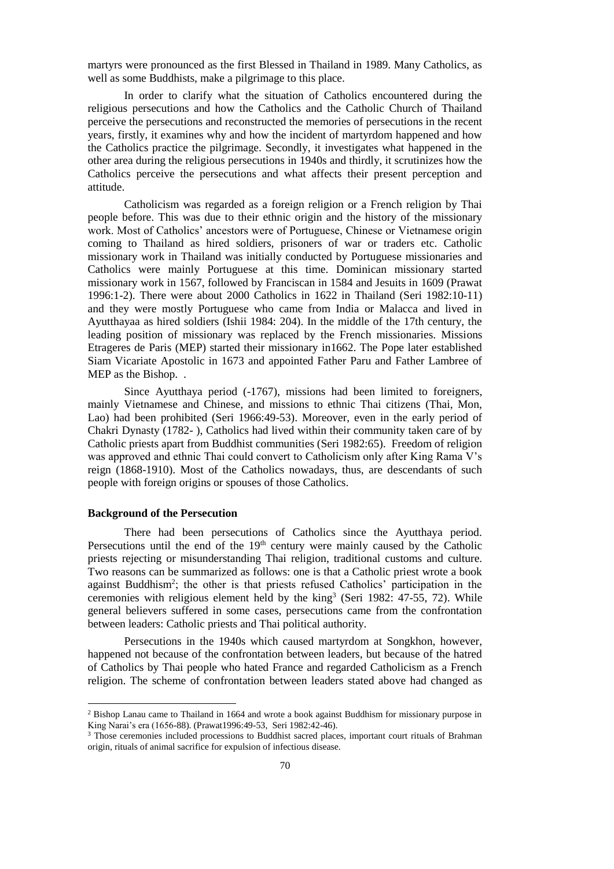martyrs were pronounced as the first Blessed in Thailand in 1989. Many Catholics, as well as some Buddhists, make a pilgrimage to this place.

In order to clarify what the situation of Catholics encountered during the religious persecutions and how the Catholics and the Catholic Church of Thailand perceive the persecutions and reconstructed the memories of persecutions in the recent years, firstly, it examines why and how the incident of martyrdom happened and how the Catholics practice the pilgrimage. Secondly, it investigates what happened in the other area during the religious persecutions in 1940s and thirdly, it scrutinizes how the Catholics perceive the persecutions and what affects their present perception and attitude.

Catholicism was regarded as a foreign religion or a French religion by Thai people before. This was due to their ethnic origin and the history of the missionary work. Most of Catholics' ancestors were of Portuguese, Chinese or Vietnamese origin coming to Thailand as hired soldiers, prisoners of war or traders etc. Catholic missionary work in Thailand was initially conducted by Portuguese missionaries and Catholics were mainly Portuguese at this time. Dominican missionary started missionary work in 1567, followed by Franciscan in 1584 and Jesuits in 1609 (Prawat 1996:1-2). There were about 2000 Catholics in 1622 in Thailand (Seri 1982:10-11) and they were mostly Portuguese who came from India or Malacca and lived in Ayutthayaa as hired soldiers (Ishii 1984: 204). In the middle of the 17th century, the leading position of missionary was replaced by the French missionaries. Missions Etrageres de Paris (MEP) started their missionary in1662. The Pope later established Siam Vicariate Apostolic in 1673 and appointed Father Paru and Father Lambree of MEP as the Bishop. .

Since Ayutthaya period (-1767), missions had been limited to foreigners, mainly Vietnamese and Chinese, and missions to ethnic Thai citizens (Thai, Mon, Lao) had been prohibited (Seri 1966:49-53). Moreover, even in the early period of Chakri Dynasty (1782- ), Catholics had lived within their community taken care of by Catholic priests apart from Buddhist communities (Seri 1982:65). Freedom of religion was approved and ethnic Thai could convert to Catholicism only after King Rama V's reign (1868-1910). Most of the Catholics nowadays, thus, are descendants of such people with foreign origins or spouses of those Catholics.

## **Background of the Persecution**

<u>.</u>

There had been persecutions of Catholics since the Ayutthaya period. Persecutions until the end of the  $19<sup>th</sup>$  century were mainly caused by the Catholic priests rejecting or misunderstanding Thai religion, traditional customs and culture. Two reasons can be summarized as follows: one is that a Catholic priest wrote a book against Buddhism<sup>2</sup>; the other is that priests refused Catholics' participation in the ceremonies with religious element held by the king<sup>3</sup> (Seri 1982: 47-55, 72). While general believers suffered in some cases, persecutions came from the confrontation between leaders: Catholic priests and Thai political authority.

Persecutions in the 1940s which caused martyrdom at Songkhon, however, happened not because of the confrontation between leaders, but because of the hatred of Catholics by Thai people who hated France and regarded Catholicism as a French religion. The scheme of confrontation between leaders stated above had changed as

<sup>2</sup> Bishop Lanau came to Thailand in 1664 and wrote a book against Buddhism for missionary purpose in King Narai's era (1656-88). (Prawat1996:49-53, Seri 1982:42-46).

<sup>&</sup>lt;sup>3</sup> Those ceremonies included processions to Buddhist sacred places, important court rituals of Brahman origin, rituals of animal sacrifice for expulsion of infectious disease.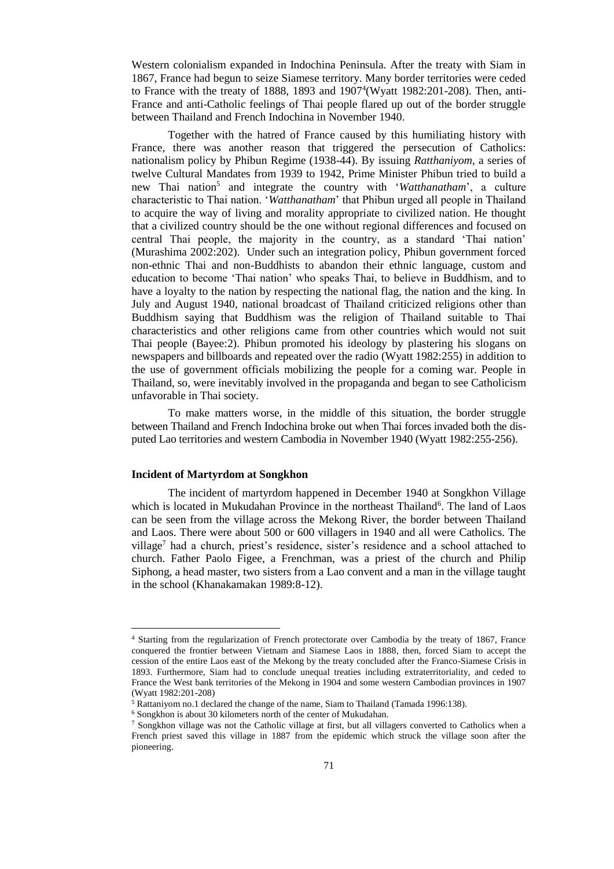Western colonialism expanded in Indochina Peninsula. After the treaty with Siam in 1867, France had begun to seize Siamese territory. Many border territories were ceded to France with the treaty of 1888, 1893 and 1907<sup>4</sup> (Wyatt 1982:201-208). Then, anti-France and anti-Catholic feelings of Thai people flared up out of the border struggle between Thailand and French Indochina in November 1940.

Together with the hatred of France caused by this humiliating history with France, there was another reason that triggered the persecution of Catholics: nationalism policy by Phibun Regime (1938-44). By issuing *Ratthaniyom*, a series of twelve Cultural Mandates from 1939 to 1942, Prime Minister Phibun tried to build a new Thai nation<sup>5</sup> and integrate the country with '*Watthanatham*', a culture characteristic to Thai nation. '*Watthanatham*' that Phibun urged all people in Thailand to acquire the way of living and morality appropriate to civilized nation. He thought that a civilized country should be the one without regional differences and focused on central Thai people, the majority in the country, as a standard 'Thai nation' (Murashima 2002:202). Under such an integration policy, Phibun government forced non-ethnic Thai and non-Buddhists to abandon their ethnic language, custom and education to become 'Thai nation' who speaks Thai, to believe in Buddhism, and to have a loyalty to the nation by respecting the national flag, the nation and the king. In July and August 1940, national broadcast of Thailand criticized religions other than Buddhism saying that Buddhism was the religion of Thailand suitable to Thai characteristics and other religions came from other countries which would not suit Thai people (Bayee:2). Phibun promoted his ideology by plastering his slogans on newspapers and billboards and repeated over the radio (Wyatt 1982:255) in addition to the use of government officials mobilizing the people for a coming war. People in Thailand, so, were inevitably involved in the propaganda and began to see Catholicism unfavorable in Thai society.

To make matters worse, in the middle of this situation, the border struggle between Thailand and French Indochina broke out when Thai forces invaded both the disputed Lao territories and western Cambodia in November 1940 (Wyatt 1982:255-256).

### **Incident of Martyrdom at Songkhon**

1

The incident of martyrdom happened in December 1940 at Songkhon Village which is located in Mukudahan Province in the northeast Thailand<sup>6</sup>. The land of Laos can be seen from the village across the Mekong River, the border between Thailand and Laos. There were about 500 or 600 villagers in 1940 and all were Catholics. The village<sup>7</sup> had a church, priest's residence, sister's residence and a school attached to church. Father Paolo Figee, a Frenchman, was a priest of the church and Philip Siphong, a head master, two sisters from a Lao convent and a man in the village taught in the school (Khanakamakan 1989:8-12).

<sup>4</sup> Starting from the regularization of French protectorate over Cambodia by the treaty of 1867, France conquered the frontier between Vietnam and Siamese Laos in 1888, then, forced Siam to accept the cession of the entire Laos east of the Mekong by the treaty concluded after the Franco-Siamese Crisis in 1893. Furthermore, Siam had to conclude unequal treaties including extraterritoriality, and ceded to France the West bank territories of the Mekong in 1904 and some western Cambodian provinces in 1907 (Wyatt 1982:201-208)

<sup>5</sup> Rattaniyom no.1 declared the change of the name, Siam to Thailand (Tamada 1996:138).

<sup>6</sup> Songkhon is about 30 kilometers north of the center of Mukudahan.

<sup>&</sup>lt;sup>7</sup> Songkhon village was not the Catholic village at first, but all villagers converted to Catholics when a French priest saved this village in 1887 from the epidemic which struck the village soon after the pioneering.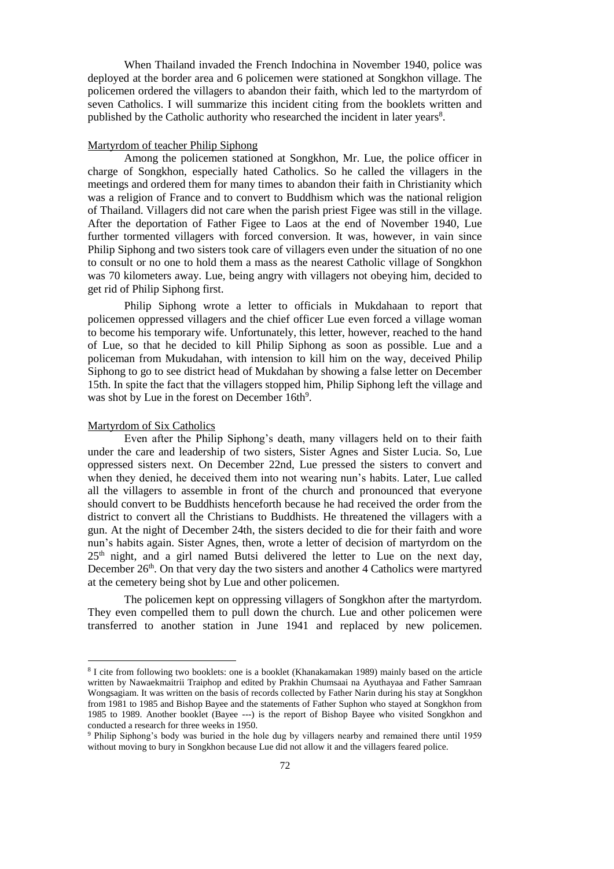When Thailand invaded the French Indochina in November 1940, police was deployed at the border area and 6 policemen were stationed at Songkhon village. The policemen ordered the villagers to abandon their faith, which led to the martyrdom of seven Catholics. I will summarize this incident citing from the booklets written and published by the Catholic authority who researched the incident in later years<sup>8</sup>.

## Martyrdom of teacher Philip Siphong

Among the policemen stationed at Songkhon, Mr. Lue, the police officer in charge of Songkhon, especially hated Catholics. So he called the villagers in the meetings and ordered them for many times to abandon their faith in Christianity which was a religion of France and to convert to Buddhism which was the national religion of Thailand. Villagers did not care when the parish priest Figee was still in the village. After the deportation of Father Figee to Laos at the end of November 1940, Lue further tormented villagers with forced conversion. It was, however, in vain since Philip Siphong and two sisters took care of villagers even under the situation of no one to consult or no one to hold them a mass as the nearest Catholic village of Songkhon was 70 kilometers away. Lue, being angry with villagers not obeying him, decided to get rid of Philip Siphong first.

Philip Siphong wrote a letter to officials in Mukdahaan to report that policemen oppressed villagers and the chief officer Lue even forced a village woman to become his temporary wife. Unfortunately, this letter, however, reached to the hand of Lue, so that he decided to kill Philip Siphong as soon as possible. Lue and a policeman from Mukudahan, with intension to kill him on the way, deceived Philip Siphong to go to see district head of Mukdahan by showing a false letter on December 15th. In spite the fact that the villagers stopped him, Philip Siphong left the village and was shot by Lue in the forest on December 16th<sup>9</sup>.

## Martyrdom of Six Catholics

<u>.</u>

Even after the Philip Siphong's death, many villagers held on to their faith under the care and leadership of two sisters, Sister Agnes and Sister Lucia. So, Lue oppressed sisters next. On December 22nd, Lue pressed the sisters to convert and when they denied, he deceived them into not wearing nun's habits. Later, Lue called all the villagers to assemble in front of the church and pronounced that everyone should convert to be Buddhists henceforth because he had received the order from the district to convert all the Christians to Buddhists. He threatened the villagers with a gun. At the night of December 24th, the sisters decided to die for their faith and wore nun's habits again. Sister Agnes, then, wrote a letter of decision of martyrdom on the  $25<sup>th</sup>$  night, and a girl named Butsi delivered the letter to Lue on the next day, December  $26<sup>th</sup>$ . On that very day the two sisters and another 4 Catholics were martyred at the cemetery being shot by Lue and other policemen.

The policemen kept on oppressing villagers of Songkhon after the martyrdom. They even compelled them to pull down the church. Lue and other policemen were transferred to another station in June 1941 and replaced by new policemen.

<sup>8</sup> I cite from following two booklets: one is a booklet (Khanakamakan 1989) mainly based on the article written by Nawaekmaitrii Traiphop and edited by Prakhin Chumsaai na Ayuthayaa and Father Samraan Wongsagiam. It was written on the basis of records collected by Father Narin during his stay at Songkhon from 1981 to 1985 and Bishop Bayee and the statements of Father Suphon who stayed at Songkhon from 1985 to 1989. Another booklet (Bayee ---) is the report of Bishop Bayee who visited Songkhon and conducted a research for three weeks in 1950.

<sup>9</sup> Philip Siphong's body was buried in the hole dug by villagers nearby and remained there until 1959 without moving to bury in Songkhon because Lue did not allow it and the villagers feared police.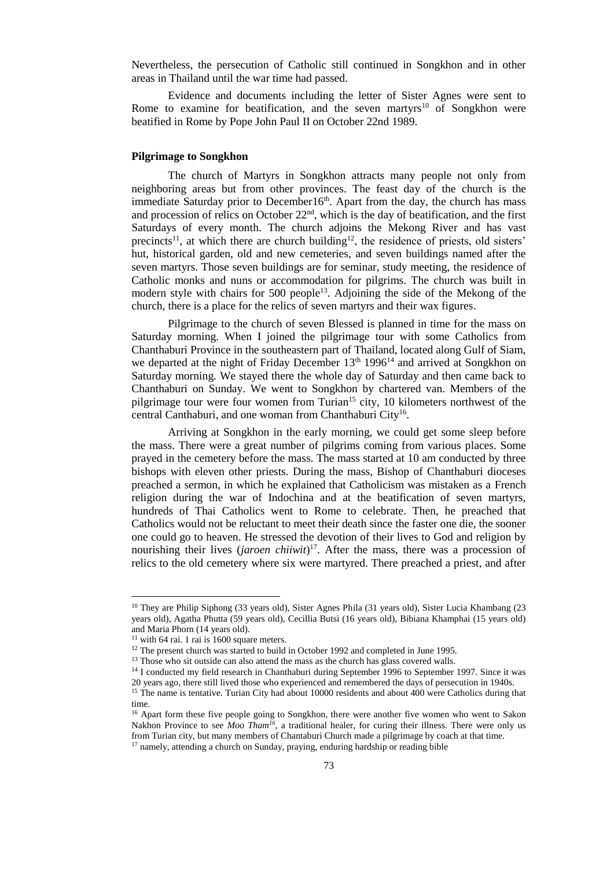Nevertheless, the persecution of Catholic still continued in Songkhon and in other areas in Thailand until the war time had passed.

Evidence and documents including the letter of Sister Agnes were sent to Rome to examine for beatification, and the seven martyrs<sup>10</sup> of Songkhon were beatified in Rome by Pope John Paul II on October 22nd 1989.

## **Pilgrimage to Songkhon**

The church of Martyrs in Songkhon attracts many people not only from neighboring areas but from other provinces. The feast day of the church is the immediate Saturday prior to December16<sup>th</sup>. Apart from the day, the church has mass and procession of relics on October 22nd, which is the day of beatification, and the first Saturdays of every month. The church adjoins the Mekong River and has vast precincts<sup>11</sup>, at which there are church building<sup>12</sup>, the residence of priests, old sisters' hut, historical garden, old and new cemeteries, and seven buildings named after the seven martyrs. Those seven buildings are for seminar, study meeting, the residence of Catholic monks and nuns or accommodation for pilgrims. The church was built in modern style with chairs for 500 people<sup>13</sup>. Adjoining the side of the Mekong of the church, there is a place for the relics of seven martyrs and their wax figures.

Pilgrimage to the church of seven Blessed is planned in time for the mass on Saturday morning. When I joined the pilgrimage tour with some Catholics from Chanthaburi Province in the southeastern part of Thailand, located along Gulf of Siam, we departed at the night of Friday December 13<sup>th</sup> 1996<sup>14</sup> and arrived at Songkhon on Saturday morning. We stayed there the whole day of Saturday and then came back to Chanthaburi on Sunday. We went to Songkhon by chartered van. Members of the pilgrimage tour were four women from Turian<sup>15</sup> city, 10 kilometers northwest of the central Canthaburi, and one woman from Chanthaburi City<sup>16</sup>.

Arriving at Songkhon in the early morning, we could get some sleep before the mass. There were a great number of pilgrims coming from various places. Some prayed in the cemetery before the mass. The mass started at 10 am conducted by three bishops with eleven other priests. During the mass, Bishop of Chanthaburi dioceses preached a sermon, in which he explained that Catholicism was mistaken as a French religion during the war of Indochina and at the beatification of seven martyrs, hundreds of Thai Catholics went to Rome to celebrate. Then, he preached that Catholics would not be reluctant to meet their death since the faster one die, the sooner one could go to heaven. He stressed the devotion of their lives to God and religion by nourishing their lives (*jaroen chiiwit*) <sup>17</sup>. After the mass, there was a procession of relics to the old cemetery where six were martyred. There preached a priest, and after

<sup>10</sup> They are Philip Siphong (33 years old), Sister Agnes Phila (31 years old), Sister Lucia Khambang (23 years old), Agatha Phutta (59 years old), Cecillia Butsi (16 years old), Bibiana Khamphai (15 years old) and Maria Phorn (14 years old).

 $11$  with 64 rai. 1 rai is 1600 square meters.

<sup>&</sup>lt;sup>12</sup> The present church was started to build in October 1992 and completed in June 1995.

<sup>&</sup>lt;sup>13</sup> Those who sit outside can also attend the mass as the church has glass covered walls.

<sup>&</sup>lt;sup>14</sup> I conducted my field research in Chanthaburi during September 1996 to September 1997. Since it was

<sup>20</sup> years ago, there still lived those who experienced and remembered the days of persecution in 1940s. <sup>15</sup> The name is tentative. Turian City had about 10000 residents and about 400 were Catholics during that time.

<sup>&</sup>lt;sup>16</sup> Apart form these five people going to Songkhon, there were another five women who went to Sakon Nakhon Province to see *Moo Tham<sup>16</sup>*, a traditional healer, for curing their illness. There were only us from Turian city, but many members of Chantaburi Church made a pilgrimage by coach at that time. <sup>17</sup> namely, attending a church on Sunday, praying, enduring hardship or reading bible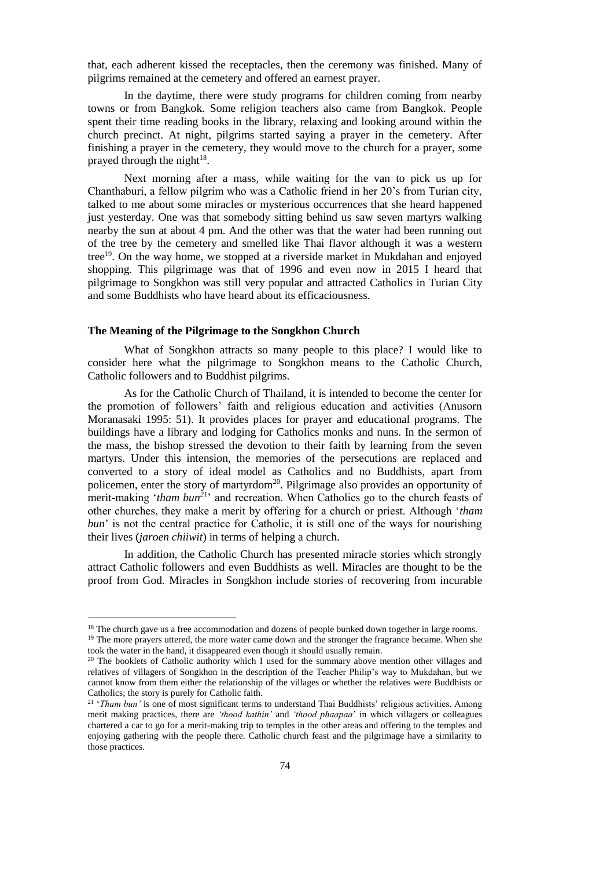that, each adherent kissed the receptacles, then the ceremony was finished. Many of pilgrims remained at the cemetery and offered an earnest prayer.

In the daytime, there were study programs for children coming from nearby towns or from Bangkok. Some religion teachers also came from Bangkok. People spent their time reading books in the library, relaxing and looking around within the church precinct. At night, pilgrims started saying a prayer in the cemetery. After finishing a prayer in the cemetery, they would move to the church for a prayer, some prayed through the night $18$ .

Next morning after a mass, while waiting for the van to pick us up for Chanthaburi, a fellow pilgrim who was a Catholic friend in her 20's from Turian city, talked to me about some miracles or mysterious occurrences that she heard happened just yesterday. One was that somebody sitting behind us saw seven martyrs walking nearby the sun at about 4 pm. And the other was that the water had been running out of the tree by the cemetery and smelled like Thai flavor although it was a western tree<sup>19</sup>. On the way home, we stopped at a riverside market in Mukdahan and enjoyed shopping. This pilgrimage was that of 1996 and even now in 2015 I heard that pilgrimage to Songkhon was still very popular and attracted Catholics in Turian City and some Buddhists who have heard about its efficaciousness.

#### **The Meaning of the Pilgrimage to the Songkhon Church**

<u>.</u>

What of Songkhon attracts so many people to this place? I would like to consider here what the pilgrimage to Songkhon means to the Catholic Church, Catholic followers and to Buddhist pilgrims.

As for the Catholic Church of Thailand, it is intended to become the center for the promotion of followers' faith and religious education and activities (Anusorn Moranasaki 1995: 51). It provides places for prayer and educational programs. The buildings have a library and lodging for Catholics monks and nuns. In the sermon of the mass, the bishop stressed the devotion to their faith by learning from the seven martyrs. Under this intension, the memories of the persecutions are replaced and converted to a story of ideal model as Catholics and no Buddhists, apart from policemen, enter the story of martyrdom<sup>20</sup>. Pilgrimage also provides an opportunity of merit-making '*tham bun<sup>21</sup>*' and recreation. When Catholics go to the church feasts of other churches, they make a merit by offering for a church or priest. Although '*tham bun*' is not the central practice for Catholic, it is still one of the ways for nourishing their lives (*jaroen chiiwit*) in terms of helping a church.

In addition, the Catholic Church has presented miracle stories which strongly attract Catholic followers and even Buddhists as well. Miracles are thought to be the proof from God. Miracles in Songkhon include stories of recovering from incurable

<sup>&</sup>lt;sup>18</sup> The church gave us a free accommodation and dozens of people bunked down together in large rooms.

<sup>&</sup>lt;sup>19</sup> The more prayers uttered, the more water came down and the stronger the fragrance became. When she took the water in the hand, it disappeared even though it should usually remain.

<sup>&</sup>lt;sup>20</sup> The booklets of Catholic authority which I used for the summary above mention other villages and relatives of villagers of Songkhon in the description of the Teacher Philip's way to Mukdahan, but we cannot know from them either the relationship of the villages or whether the relatives were Buddhists or Catholics; the story is purely for Catholic faith.

<sup>&</sup>lt;sup>21</sup> '*Tham bun'* is one of most significant terms to understand Thai Buddhists' religious activities. Among merit making practices, there are *'thood kathin'* and *'thood phaapaa*' in which villagers or colleagues chartered a car to go for a merit-making trip to temples in the other areas and offering to the temples and enjoying gathering with the people there. Catholic church feast and the pilgrimage have a similarity to those practices.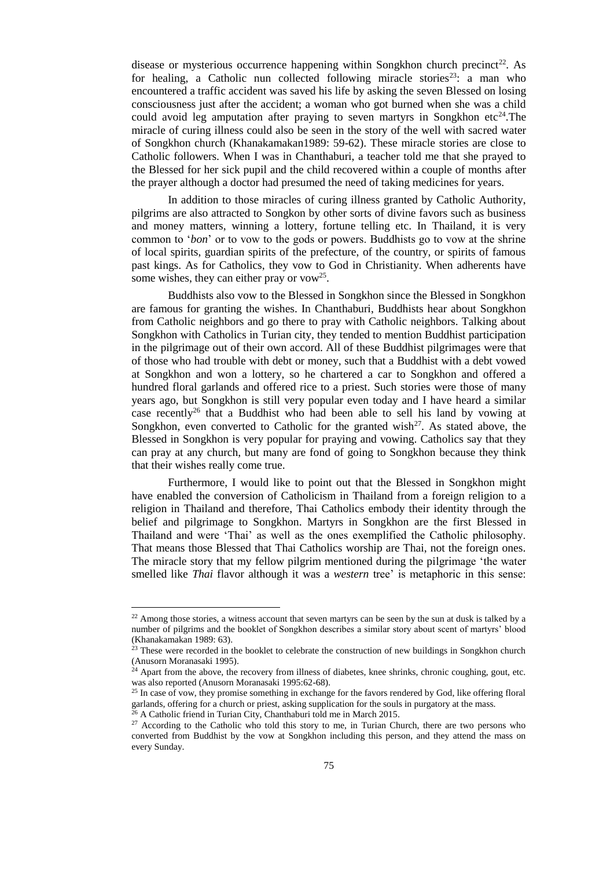disease or mysterious occurrence happening within Songkhon church precinct<sup>22</sup>. As for healing, a Catholic nun collected following miracle stories<sup>23</sup>: a man who encountered a traffic accident was saved his life by asking the seven Blessed on losing consciousness just after the accident; a woman who got burned when she was a child could avoid leg amputation after praying to seven martyrs in Songkhon etc<sup>24</sup>. The miracle of curing illness could also be seen in the story of the well with sacred water of Songkhon church (Khanakamakan1989: 59-62). These miracle stories are close to Catholic followers. When I was in Chanthaburi, a teacher told me that she prayed to the Blessed for her sick pupil and the child recovered within a couple of months after the prayer although a doctor had presumed the need of taking medicines for years.

In addition to those miracles of curing illness granted by Catholic Authority, pilgrims are also attracted to Songkon by other sorts of divine favors such as business and money matters, winning a lottery, fortune telling etc. In Thailand, it is very common to '*bon*' or to vow to the gods or powers. Buddhists go to vow at the shrine of local spirits, guardian spirits of the prefecture, of the country, or spirits of famous past kings. As for Catholics, they vow to God in Christianity. When adherents have some wishes, they can either pray or vow<sup>25</sup>.

Buddhists also vow to the Blessed in Songkhon since the Blessed in Songkhon are famous for granting the wishes. In Chanthaburi, Buddhists hear about Songkhon from Catholic neighbors and go there to pray with Catholic neighbors. Talking about Songkhon with Catholics in Turian city, they tended to mention Buddhist participation in the pilgrimage out of their own accord. All of these Buddhist pilgrimages were that of those who had trouble with debt or money, such that a Buddhist with a debt vowed at Songkhon and won a lottery, so he chartered a car to Songkhon and offered a hundred floral garlands and offered rice to a priest. Such stories were those of many years ago, but Songkhon is still very popular even today and I have heard a similar case recently<sup>26</sup> that a Buddhist who had been able to sell his land by vowing at Songkhon, even converted to Catholic for the granted wish $^{27}$ . As stated above, the Blessed in Songkhon is very popular for praying and vowing. Catholics say that they can pray at any church, but many are fond of going to Songkhon because they think that their wishes really come true.

Furthermore, I would like to point out that the Blessed in Songkhon might have enabled the conversion of Catholicism in Thailand from a foreign religion to a religion in Thailand and therefore, Thai Catholics embody their identity through the belief and pilgrimage to Songkhon. Martyrs in Songkhon are the first Blessed in Thailand and were 'Thai' as well as the ones exemplified the Catholic philosophy. That means those Blessed that Thai Catholics worship are Thai, not the foreign ones. The miracle story that my fellow pilgrim mentioned during the pilgrimage 'the water smelled like *Thai* flavor although it was a *western* tree' is metaphoric in this sense:

-

<sup>&</sup>lt;sup>22</sup> Among those stories, a witness account that seven martyrs can be seen by the sun at dusk is talked by a number of pilgrims and the booklet of Songkhon describes a similar story about scent of martyrs' blood (Khanakamakan 1989: 63).

 $23$  These were recorded in the booklet to celebrate the construction of new buildings in Songkhon church (Anusorn Moranasaki 1995).

<sup>&</sup>lt;sup>24</sup> Apart from the above, the recovery from illness of diabetes, knee shrinks, chronic coughing, gout, etc. was also reported (Anusorn Moranasaki 1995:62-68).

<sup>&</sup>lt;sup>25</sup> In case of vow, they promise something in exchange for the favors rendered by God, like offering floral garlands, offering for a church or priest, asking supplication for the souls in purgatory at the mass.

<sup>&</sup>lt;sup>26</sup> A Catholic friend in Turian City, Chanthaburi told me in March 2015.

<sup>&</sup>lt;sup>27</sup> According to the Catholic who told this story to me, in Turian Church, there are two persons who converted from Buddhist by the vow at Songkhon including this person, and they attend the mass on every Sunday.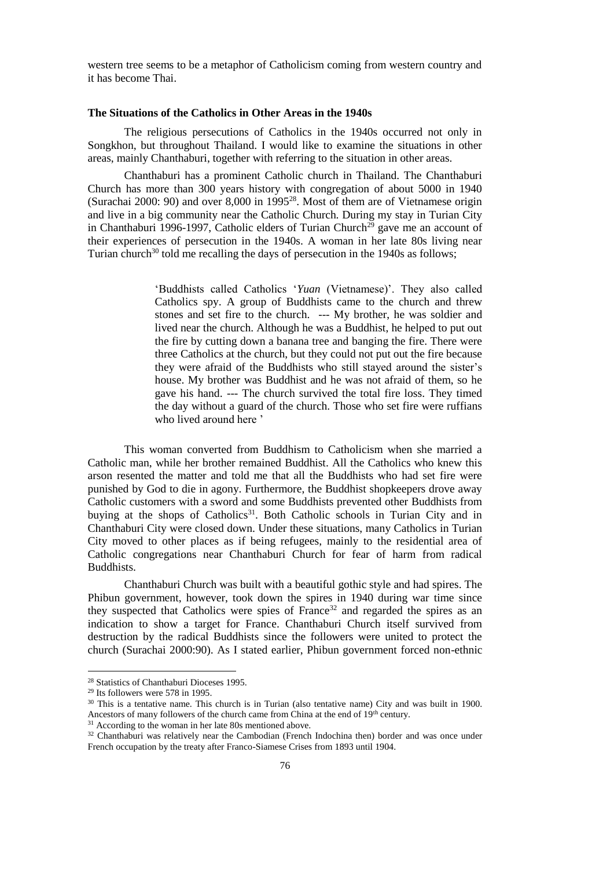western tree seems to be a metaphor of Catholicism coming from western country and it has become Thai.

### **The Situations of the Catholics in Other Areas in the 1940s**

The religious persecutions of Catholics in the 1940s occurred not only in Songkhon, but throughout Thailand. I would like to examine the situations in other areas, mainly Chanthaburi, together with referring to the situation in other areas.

Chanthaburi has a prominent Catholic church in Thailand. The Chanthaburi Church has more than 300 years history with congregation of about 5000 in 1940 (Surachai 2000: 90) and over 8,000 in 1995<sup>28</sup>. Most of them are of Vietnamese origin and live in a big community near the Catholic Church. During my stay in Turian City in Chanthaburi 1996-1997, Catholic elders of Turian Church<sup>29</sup> gave me an account of their experiences of persecution in the 1940s. A woman in her late 80s living near Turian church $30$  told me recalling the days of persecution in the 1940s as follows;

> 'Buddhists called Catholics '*Yuan* (Vietnamese)'. They also called Catholics spy. A group of Buddhists came to the church and threw stones and set fire to the church. --- My brother, he was soldier and lived near the church. Although he was a Buddhist, he helped to put out the fire by cutting down a banana tree and banging the fire. There were three Catholics at the church, but they could not put out the fire because they were afraid of the Buddhists who still stayed around the sister's house. My brother was Buddhist and he was not afraid of them, so he gave his hand. --- The church survived the total fire loss. They timed the day without a guard of the church. Those who set fire were ruffians who lived around here '

This woman converted from Buddhism to Catholicism when she married a Catholic man, while her brother remained Buddhist. All the Catholics who knew this arson resented the matter and told me that all the Buddhists who had set fire were punished by God to die in agony. Furthermore, the Buddhist shopkeepers drove away Catholic customers with a sword and some Buddhists prevented other Buddhists from buying at the shops of Catholics<sup>31</sup>. Both Catholic schools in Turian City and in Chanthaburi City were closed down. Under these situations, many Catholics in Turian City moved to other places as if being refugees, mainly to the residential area of Catholic congregations near Chanthaburi Church for fear of harm from radical Buddhists.

Chanthaburi Church was built with a beautiful gothic style and had spires. The Phibun government, however, took down the spires in 1940 during war time since they suspected that Catholics were spies of France<sup>32</sup> and regarded the spires as an indication to show a target for France. Chanthaburi Church itself survived from destruction by the radical Buddhists since the followers were united to protect the church (Surachai 2000:90). As I stated earlier, Phibun government forced non-ethnic

<sup>&</sup>lt;sup>28</sup> Statistics of Chanthaburi Dioceses 1995.

<sup>29</sup> Its followers were 578 in 1995.

 $30$  This is a tentative name. This church is in Turian (also tentative name) City and was built in 1900. Ancestors of many followers of the church came from China at the end of 19<sup>th</sup> century.

<sup>&</sup>lt;sup>31</sup> According to the woman in her late 80s mentioned above.

<sup>&</sup>lt;sup>32</sup> Chanthaburi was relatively near the Cambodian (French Indochina then) border and was once under French occupation by the treaty after Franco-Siamese Crises from 1893 until 1904.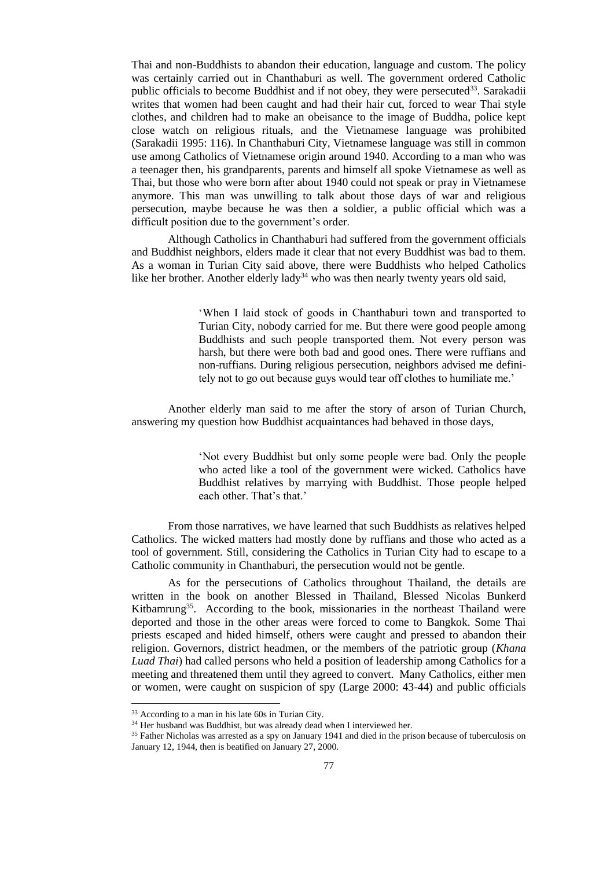Thai and non-Buddhists to abandon their education, language and custom. The policy was certainly carried out in Chanthaburi as well. The government ordered Catholic public officials to become Buddhist and if not obey, they were persecuted<sup>33</sup>. Sarakadii writes that women had been caught and had their hair cut, forced to wear Thai style clothes, and children had to make an obeisance to the image of Buddha, police kept close watch on religious rituals, and the Vietnamese language was prohibited (Sarakadii 1995: 116). In Chanthaburi City, Vietnamese language was still in common use among Catholics of Vietnamese origin around 1940. According to a man who was a teenager then, his grandparents, parents and himself all spoke Vietnamese as well as Thai, but those who were born after about 1940 could not speak or pray in Vietnamese anymore. This man was unwilling to talk about those days of war and religious persecution, maybe because he was then a soldier, a public official which was a difficult position due to the government's order.

Although Catholics in Chanthaburi had suffered from the government officials and Buddhist neighbors, elders made it clear that not every Buddhist was bad to them. As a woman in Turian City said above, there were Buddhists who helped Catholics like her brother. Another elderly lady<sup>34</sup> who was then nearly twenty years old said,

> 'When I laid stock of goods in Chanthaburi town and transported to Turian City, nobody carried for me. But there were good people among Buddhists and such people transported them. Not every person was harsh, but there were both bad and good ones. There were ruffians and non-ruffians. During religious persecution, neighbors advised me definitely not to go out because guys would tear off clothes to humiliate me.'

Another elderly man said to me after the story of arson of Turian Church, answering my question how Buddhist acquaintances had behaved in those days,

> 'Not every Buddhist but only some people were bad. Only the people who acted like a tool of the government were wicked. Catholics have Buddhist relatives by marrying with Buddhist. Those people helped each other. That's that.'

From those narratives, we have learned that such Buddhists as relatives helped Catholics. The wicked matters had mostly done by ruffians and those who acted as a tool of government. Still, considering the Catholics in Turian City had to escape to a Catholic community in Chanthaburi, the persecution would not be gentle.

As for the persecutions of Catholics throughout Thailand, the details are written in the book on another Blessed in Thailand, Blessed Nicolas Bunkerd Kitbamrung<sup>35</sup>. According to the book, missionaries in the northeast Thailand were deported and those in the other areas were forced to come to Bangkok. Some Thai priests escaped and hided himself, others were caught and pressed to abandon their religion. Governors, district headmen, or the members of the patriotic group (*Khana Luad Thai*) had called persons who held a position of leadership among Catholics for a meeting and threatened them until they agreed to convert. Many Catholics, either men or women, were caught on suspicion of spy (Large 2000: 43-44) and public officials

<sup>&</sup>lt;sup>33</sup> According to a man in his late 60s in Turian City.

<sup>&</sup>lt;sup>34</sup> Her husband was Buddhist, but was already dead when I interviewed her.

<sup>35</sup> Father Nicholas was arrested as a spy on January 1941 and died in the prison because of tuberculosis on January 12, 1944, then is beatified on January 27, 2000.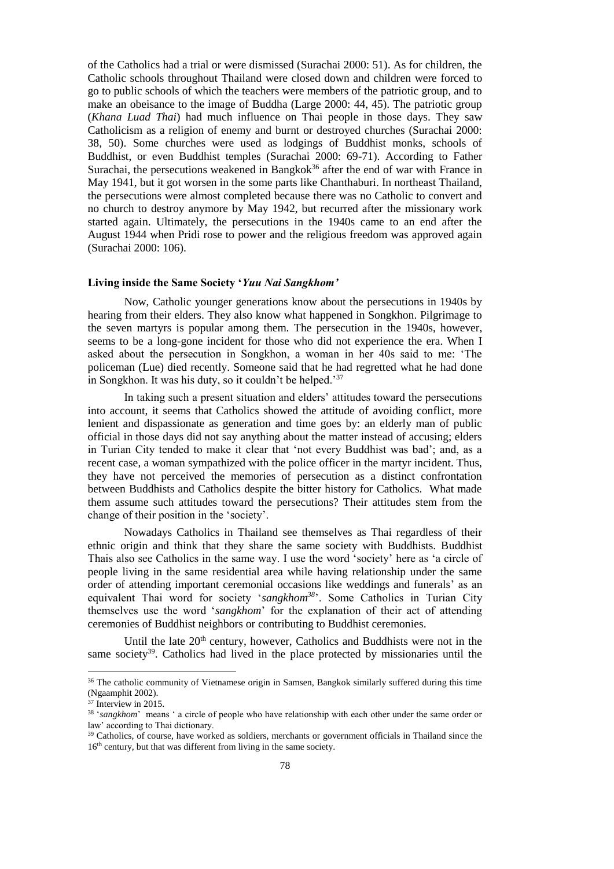of the Catholics had a trial or were dismissed (Surachai 2000: 51). As for children, the Catholic schools throughout Thailand were closed down and children were forced to go to public schools of which the teachers were members of the patriotic group, and to make an obeisance to the image of Buddha (Large 2000: 44, 45). The patriotic group (*Khana Luad Thai*) had much influence on Thai people in those days. They saw Catholicism as a religion of enemy and burnt or destroyed churches (Surachai 2000: 38, 50). Some churches were used as lodgings of Buddhist monks, schools of Buddhist, or even Buddhist temples (Surachai 2000: 69-71). According to Father Surachai, the persecutions weakened in Bangkok<sup>36</sup> after the end of war with France in May 1941, but it got worsen in the some parts like Chanthaburi. In northeast Thailand, the persecutions were almost completed because there was no Catholic to convert and no church to destroy anymore by May 1942, but recurred after the missionary work started again. Ultimately, the persecutions in the 1940s came to an end after the August 1944 when Pridi rose to power and the religious freedom was approved again (Surachai 2000: 106).

## **Living inside the Same Society '***Yuu Nai Sangkhom'*

Now, Catholic younger generations know about the persecutions in 1940s by hearing from their elders. They also know what happened in Songkhon. Pilgrimage to the seven martyrs is popular among them. The persecution in the 1940s, however, seems to be a long-gone incident for those who did not experience the era. When I asked about the persecution in Songkhon, a woman in her 40s said to me: 'The policeman (Lue) died recently. Someone said that he had regretted what he had done in Songkhon. It was his duty, so it couldn't be helped.'<sup>37</sup>

In taking such a present situation and elders' attitudes toward the persecutions into account, it seems that Catholics showed the attitude of avoiding conflict, more lenient and dispassionate as generation and time goes by: an elderly man of public official in those days did not say anything about the matter instead of accusing; elders in Turian City tended to make it clear that 'not every Buddhist was bad'; and, as a recent case, a woman sympathized with the police officer in the martyr incident. Thus, they have not perceived the memories of persecution as a distinct confrontation between Buddhists and Catholics despite the bitter history for Catholics. What made them assume such attitudes toward the persecutions? Their attitudes stem from the change of their position in the 'society'.

Nowadays Catholics in Thailand see themselves as Thai regardless of their ethnic origin and think that they share the same society with Buddhists. Buddhist Thais also see Catholics in the same way. I use the word 'society' here as 'a circle of people living in the same residential area while having relationship under the same order of attending important ceremonial occasions like weddings and funerals' as an equivalent Thai word for society '*sangkhom<sup>38</sup>*'. Some Catholics in Turian City themselves use the word '*sangkhom*' for the explanation of their act of attending ceremonies of Buddhist neighbors or contributing to Buddhist ceremonies.

Until the late  $20<sup>th</sup>$  century, however, Catholics and Buddhists were not in the same society<sup>39</sup>. Catholics had lived in the place protected by missionaries until the

<sup>&</sup>lt;sup>36</sup> The catholic community of Vietnamese origin in Samsen, Bangkok similarly suffered during this time (Ngaamphit 2002).

<sup>37</sup> Interview in 2015.

<sup>38</sup> '*sangkhom*' means ' a circle of people who have relationship with each other under the same order or law' according to Thai dictionary.

<sup>&</sup>lt;sup>39</sup> Catholics, of course, have worked as soldiers, merchants or government officials in Thailand since the 16<sup>th</sup> century, but that was different from living in the same society.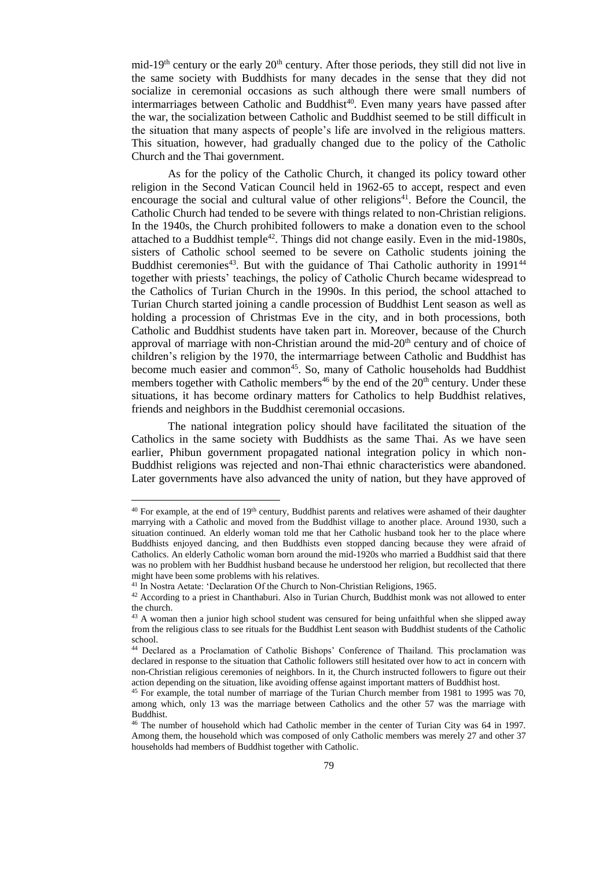mid-19<sup>th</sup> century or the early  $20<sup>th</sup>$  century. After those periods, they still did not live in the same society with Buddhists for many decades in the sense that they did not socialize in ceremonial occasions as such although there were small numbers of intermarriages between Catholic and Buddhist<sup>40</sup>. Even many years have passed after the war, the socialization between Catholic and Buddhist seemed to be still difficult in the situation that many aspects of people's life are involved in the religious matters. This situation, however, had gradually changed due to the policy of the Catholic Church and the Thai government.

As for the policy of the Catholic Church, it changed its policy toward other religion in the Second Vatican Council held in 1962-65 to accept, respect and even encourage the social and cultural value of other religions<sup>41</sup>. Before the Council, the Catholic Church had tended to be severe with things related to non-Christian religions. In the 1940s, the Church prohibited followers to make a donation even to the school attached to a Buddhist temple<sup>42</sup>. Things did not change easily. Even in the mid-1980s, sisters of Catholic school seemed to be severe on Catholic students joining the Buddhist ceremonies<sup>43</sup>. But with the guidance of Thai Catholic authority in 1991<sup>44</sup> together with priests' teachings, the policy of Catholic Church became widespread to the Catholics of Turian Church in the 1990s. In this period, the school attached to Turian Church started joining a candle procession of Buddhist Lent season as well as holding a procession of Christmas Eve in the city, and in both processions, both Catholic and Buddhist students have taken part in. Moreover, because of the Church approval of marriage with non-Christian around the mid-20<sup>th</sup> century and of choice of children's religion by the 1970, the intermarriage between Catholic and Buddhist has become much easier and common<sup>45</sup>. So, many of Catholic households had Buddhist members together with Catholic members<sup>46</sup> by the end of the  $20<sup>th</sup>$  century. Under these situations, it has become ordinary matters for Catholics to help Buddhist relatives, friends and neighbors in the Buddhist ceremonial occasions.

The national integration policy should have facilitated the situation of the Catholics in the same society with Buddhists as the same Thai. As we have seen earlier, Phibun government propagated national integration policy in which non-Buddhist religions was rejected and non-Thai ethnic characteristics were abandoned. Later governments have also advanced the unity of nation, but they have approved of

-

<sup>&</sup>lt;sup>40</sup> For example, at the end of 19<sup>th</sup> century, Buddhist parents and relatives were ashamed of their daughter marrying with a Catholic and moved from the Buddhist village to another place. Around 1930, such a situation continued. An elderly woman told me that her Catholic husband took her to the place where Buddhists enjoyed dancing, and then Buddhists even stopped dancing because they were afraid of Catholics. An elderly Catholic woman born around the mid-1920s who married a Buddhist said that there was no problem with her Buddhist husband because he understood her religion, but recollected that there might have been some problems with his relatives.

<sup>41</sup> In Nostra Aetate: 'Declaration Of the Church to Non-Christian Religions, 1965.

<sup>42</sup> According to a priest in Chanthaburi. Also in Turian Church, Buddhist monk was not allowed to enter the church.

<sup>&</sup>lt;sup>43</sup> A woman then a junior high school student was censured for being unfaithful when she slipped away from the religious class to see rituals for the Buddhist Lent season with Buddhist students of the Catholic school.

<sup>44</sup> Declared as a Proclamation of Catholic Bishops' Conference of Thailand. This proclamation was declared in response to the situation that Catholic followers still hesitated over how to act in concern with non-Christian religious ceremonies of neighbors. In it, the Church instructed followers to figure out their action depending on the situation, like avoiding offense against important matters of Buddhist host.

<sup>45</sup> For example, the total number of marriage of the Turian Church member from 1981 to 1995 was 70, among which, only 13 was the marriage between Catholics and the other 57 was the marriage with Buddhist.

<sup>46</sup> The number of household which had Catholic member in the center of Turian City was 64 in 1997. Among them, the household which was composed of only Catholic members was merely 27 and other 37 households had members of Buddhist together with Catholic.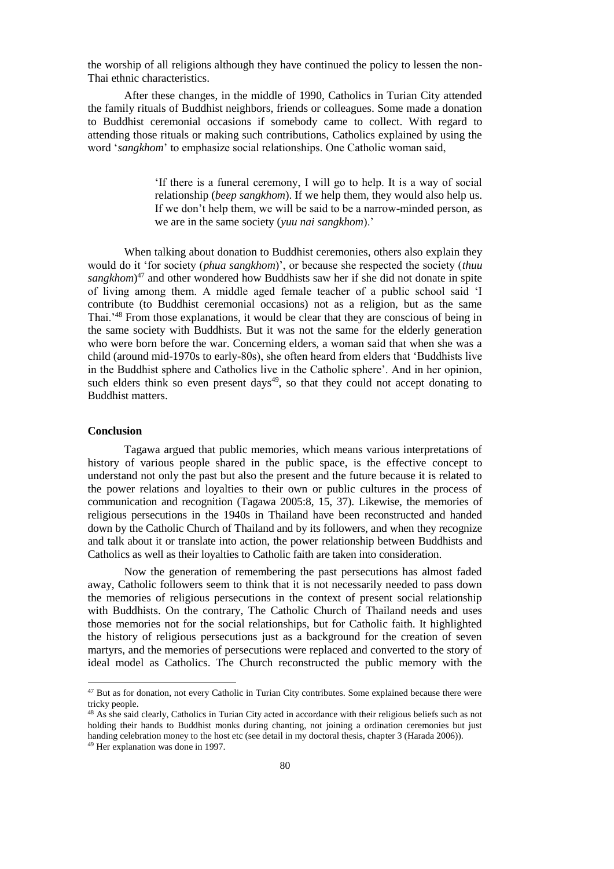the worship of all religions although they have continued the policy to lessen the non-Thai ethnic characteristics.

After these changes, in the middle of 1990, Catholics in Turian City attended the family rituals of Buddhist neighbors, friends or colleagues. Some made a donation to Buddhist ceremonial occasions if somebody came to collect. With regard to attending those rituals or making such contributions, Catholics explained by using the word '*sangkhom*' to emphasize social relationships. One Catholic woman said,

> 'If there is a funeral ceremony, I will go to help. It is a way of social relationship (*beep sangkhom*). If we help them, they would also help us. If we don't help them, we will be said to be a narrow-minded person, as we are in the same society (*yuu nai sangkhom*).'

When talking about donation to Buddhist ceremonies, others also explain they would do it 'for society (*phua sangkhom*)', or because she respected the society (*thuu sangkhom*) <sup>47</sup> and other wondered how Buddhists saw her if she did not donate in spite of living among them. A middle aged female teacher of a public school said 'I contribute (to Buddhist ceremonial occasions) not as a religion, but as the same Thai.'<sup>48</sup> From those explanations, it would be clear that they are conscious of being in the same society with Buddhists. But it was not the same for the elderly generation who were born before the war. Concerning elders, a woman said that when she was a child (around mid-1970s to early-80s), she often heard from elders that 'Buddhists live in the Buddhist sphere and Catholics live in the Catholic sphere'. And in her opinion, such elders think so even present days<sup>49</sup>, so that they could not accept donating to Buddhist matters.

#### **Conclusion**

<u>.</u>

Tagawa argued that public memories, which means various interpretations of history of various people shared in the public space, is the effective concept to understand not only the past but also the present and the future because it is related to the power relations and loyalties to their own or public cultures in the process of communication and recognition (Tagawa 2005:8, 15, 37). Likewise, the memories of religious persecutions in the 1940s in Thailand have been reconstructed and handed down by the Catholic Church of Thailand and by its followers, and when they recognize and talk about it or translate into action, the power relationship between Buddhists and Catholics as well as their loyalties to Catholic faith are taken into consideration.

Now the generation of remembering the past persecutions has almost faded away, Catholic followers seem to think that it is not necessarily needed to pass down the memories of religious persecutions in the context of present social relationship with Buddhists. On the contrary, The Catholic Church of Thailand needs and uses those memories not for the social relationships, but for Catholic faith. It highlighted the history of religious persecutions just as a background for the creation of seven martyrs, and the memories of persecutions were replaced and converted to the story of ideal model as Catholics. The Church reconstructed the public memory with the

<sup>&</sup>lt;sup>47</sup> But as for donation, not every Catholic in Turian City contributes. Some explained because there were tricky people.

<sup>48</sup> As she said clearly, Catholics in Turian City acted in accordance with their religious beliefs such as not holding their hands to Buddhist monks during chanting, not joining a ordination ceremonies but just handing celebration money to the host etc (see detail in my doctoral thesis, chapter 3 (Harada 2006)). <sup>49</sup> Her explanation was done in 1997.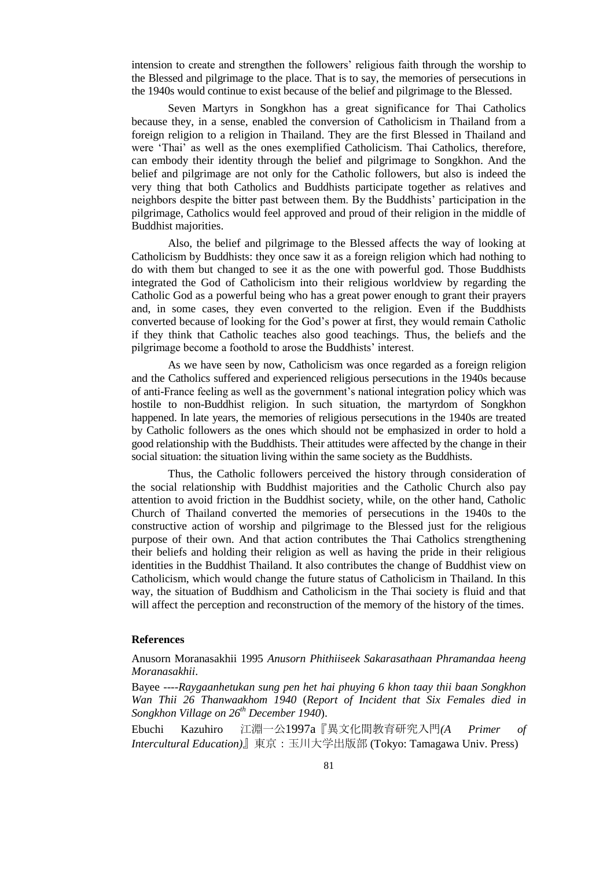intension to create and strengthen the followers' religious faith through the worship to the Blessed and pilgrimage to the place. That is to say, the memories of persecutions in the 1940s would continue to exist because of the belief and pilgrimage to the Blessed.

Seven Martyrs in Songkhon has a great significance for Thai Catholics because they, in a sense, enabled the conversion of Catholicism in Thailand from a foreign religion to a religion in Thailand. They are the first Blessed in Thailand and were 'Thai' as well as the ones exemplified Catholicism. Thai Catholics, therefore, can embody their identity through the belief and pilgrimage to Songkhon. And the belief and pilgrimage are not only for the Catholic followers, but also is indeed the very thing that both Catholics and Buddhists participate together as relatives and neighbors despite the bitter past between them. By the Buddhists' participation in the pilgrimage, Catholics would feel approved and proud of their religion in the middle of Buddhist majorities.

Also, the belief and pilgrimage to the Blessed affects the way of looking at Catholicism by Buddhists: they once saw it as a foreign religion which had nothing to do with them but changed to see it as the one with powerful god. Those Buddhists integrated the God of Catholicism into their religious worldview by regarding the Catholic God as a powerful being who has a great power enough to grant their prayers and, in some cases, they even converted to the religion. Even if the Buddhists converted because of looking for the God's power at first, they would remain Catholic if they think that Catholic teaches also good teachings. Thus, the beliefs and the pilgrimage become a foothold to arose the Buddhists' interest.

As we have seen by now, Catholicism was once regarded as a foreign religion and the Catholics suffered and experienced religious persecutions in the 1940s because of anti-France feeling as well as the government's national integration policy which was hostile to non-Buddhist religion. In such situation, the martyrdom of Songkhon happened. In late years, the memories of religious persecutions in the 1940s are treated by Catholic followers as the ones which should not be emphasized in order to hold a good relationship with the Buddhists. Their attitudes were affected by the change in their social situation: the situation living within the same society as the Buddhists.

Thus, the Catholic followers perceived the history through consideration of the social relationship with Buddhist majorities and the Catholic Church also pay attention to avoid friction in the Buddhist society, while, on the other hand, Catholic Church of Thailand converted the memories of persecutions in the 1940s to the constructive action of worship and pilgrimage to the Blessed just for the religious purpose of their own. And that action contributes the Thai Catholics strengthening their beliefs and holding their religion as well as having the pride in their religious identities in the Buddhist Thailand. It also contributes the change of Buddhist view on Catholicism, which would change the future status of Catholicism in Thailand. In this way, the situation of Buddhism and Catholicism in the Thai society is fluid and that will affect the perception and reconstruction of the memory of the history of the times.

## **References**

Anusorn Moranasakhii 1995 *Anusorn Phithiiseek Sakarasathaan Phramandaa heeng Moranasakhii*.

Bayee ----*Raygaanhetukan sung pen het hai phuying 6 khon taay thii baan Songkhon Wan Thii 26 Thanwaakhom 1940* (*Report of Incident that Six Females died in Songkhon Village on 26th December 1940*).

Ebuchi Kazuhiro 江淵一公1997a『異文化間教育研究入門*(A Primer of Intercultural Education)*』東京:玉川大学出版部 (Tokyo: Tamagawa Univ. Press)